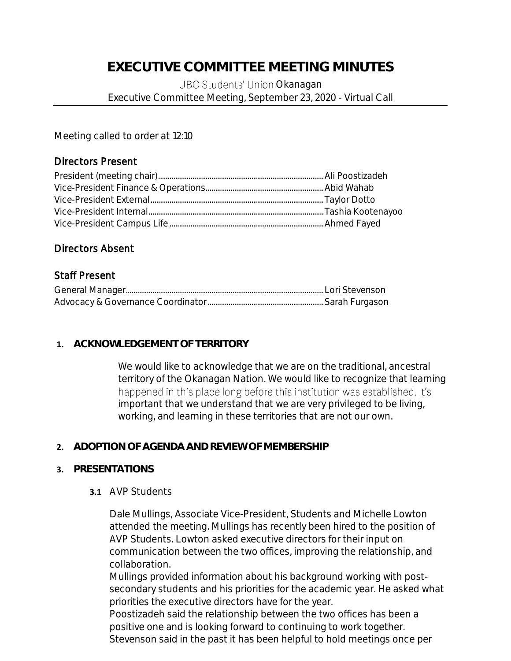# **EXECUTIVE COMMITTEE MEETING MINUTES**

UBC Students' Union Okanagan Executive Committee Meeting, September 23, 2020 - Virtual Call

Meeting called to order at 12:10

## Directors Present

## Directors Absent

## Staff Present

## **1. ACKNOWLEDGEMENT OF TERRITORY**

We would like to acknowledge that we are on the traditional, ancestral territory of the Okanagan Nation. We would like to recognize that learning happened in this place long before this institution was established. It's important that we understand that we are very privileged to be living, working, and learning in these territories that are not our own.

# **2. ADOPTION OF AGENDA AND REVIEW OF MEMBERSHIP**

## **3. PRESENTATIONS**

## **3.1** AVP Students

Dale Mullings, Associate Vice-President, Students and Michelle Lowton attended the meeting. Mullings has recently been hired to the position of AVP Students. Lowton asked executive directors for their input on communication between the two offices, improving the relationship, and collaboration.

Mullings provided information about his background working with postsecondary students and his priorities for the academic year. He asked what priorities the executive directors have for the year.

Poostizadeh said the relationship between the two offices has been a positive one and is looking forward to continuing to work together. Stevenson said in the past it has been helpful to hold meetings once per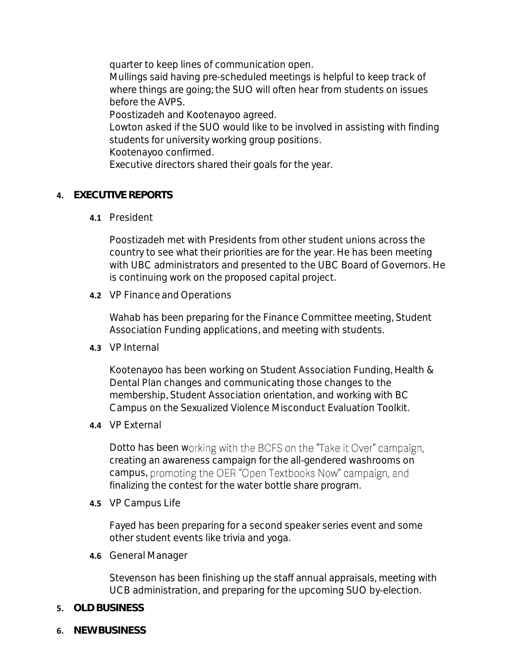quarter to keep lines of communication open. Mullings said having pre-scheduled meetings is helpful to keep track of where things are going; the SUO will often hear from students on issues before the AVPS. Poostizadeh and Kootenayoo agreed. Lowton asked if the SUO would like to be involved in assisting with finding students for university working group positions. Kootenayoo confirmed. Executive directors shared their goals for the year.

# **4. EXECUTIVE REPORTS**

**4.1** President

Poostizadeh met with Presidents from other student unions across the country to see what their priorities are for the year. He has been meeting with UBC administrators and presented to the UBC Board of Governors. He is continuing work on the proposed capital project.

**4.2** VP Finance and Operations

Wahab has been preparing for the Finance Committee meeting, Student Association Funding applications, and meeting with students.

**4.3** VP Internal

Kootenayoo has been working on Student Association Funding, Health & Dental Plan changes and communicating those changes to the membership, Student Association orientation, and working with BC Campus on the Sexualized Violence Misconduct Evaluation Toolkit.

**4.4** VP External

Dotto has been working with the BCFS on the "Take it Over" campaign, creating an awareness campaign for the all-gendered washrooms on campus, promoting the OER "Open Textbooks Now" campaign, and finalizing the contest for the water bottle share program.

**4.5** VP Campus Life

Fayed has been preparing for a second speaker series event and some other student events like trivia and yoga.

**4.6** General Manager

Stevenson has been finishing up the staff annual appraisals, meeting with UCB administration, and preparing for the upcoming SUO by-election.

- **5. OLD BUSINESS**
- **6. NEW BUSINESS**